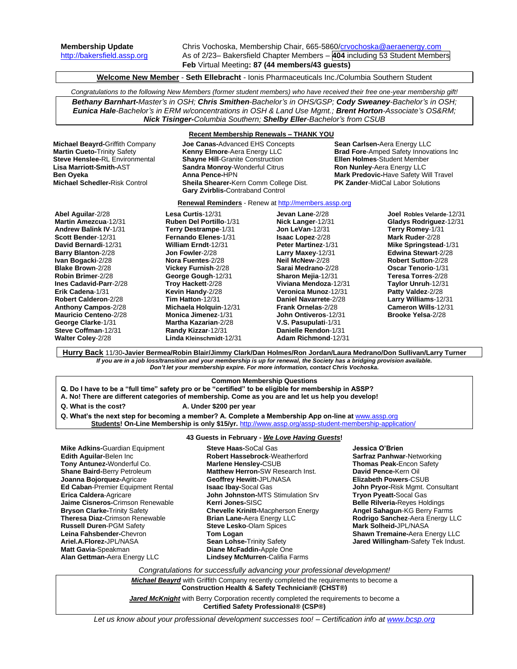**Membership Update** Chris Vochoska, Membership Chair, 665-5860[/crvochoska@aeraenergy.com](mailto:crvochoska@aeraenergy.com) [http://bakersfield.assp.org](http://bakersfield.assp.org/) As of 2/23– Bakersfield Chapter Members – **404** including 53 Student Members **Feb** Virtual Meeting**: 87 (44 members/43 guests)**

**Welcome New Member** - **Seth Ellebracht** - Ionis Pharmaceuticals Inc./Columbia Southern Student

*Congratulations to the following New Members (former student members) who have received their free one-year membership gift! Bethany Barnhart-Master's in OSH; Chris Smithen-Bachelor's in OHS/GSP; Cody Sweaney-Bachelor's in OSH; Eunica Hale-Bachelor's in ERM w/concentrations in OSH & Land Use Mgmt.; Brent Horton-Associate's OS&RM; Nick Tisinger-Columbia Southern; Shelby Eller-Bachelor's from CSUB*

**Lisa Marriott-Smith-AST Sandra Monroy-**Wonderful Citrus<br> **Ron Oveka**<br> **Anna Pence-HPN** 

### **Recent Membership Renewals – THANK YOU**

**Renewal Reminders** - Renew a[t http://members.assp.org](http://members.assp.org/)

**Michael Beayrd-**Griffith Company **Joe Canas-**Advanced EHS Concepts **Sean Carlsen-**Aera Energy LLC **Steve Henslee-RL Environmental Shayne Hill-Granite Construction <b>Fillen Holmes-Student Member**<br> **Lisa Marriott-Smith-**AST **Sandra Monroy-**Wonderful Citrus **Ron Nunley-Aera Energy LLC Ben Oyeka Anna Pence-HPN Mark Predovic-Have Safety Will Travel**<br>**Michael Schedler-Risk Control Sheila Shearer-Kern Comm College Dist. PK Zander-MidCal Labor Solutions Sheila Shearer-Kern Comm College Dist. Gary Zvirblis-**Contraband Control

**Brad Fore-Amped Safety Innovations Inc.** 

**Abel Aguilar**-2/28 **Martin Amezcua**-12/31 **Andrew Balink IV**-1/31 **Scott Bender**-12/31 **David Bernardi**-12/31 **Barry Blanton**-2/28 **Ivan Bogacki**-2/28 **Blake Brown**-2/28 **Robin Brimer**-2/28 **Ines Cadavid-Parr**-2/28 **Erik Cadena**-1/31 **Robert Calderon**-2/28 **Anthony Campos**-2/28 **Mauricio Centeno**-2/28 **George Clarke**-1/31 **Steve Coffman**-12/31 **Walter Coley**-2/28

**Lesa Curtis**-12/31 **Ruben Del Portillo**-1/31 **Terry Destrampe**-1/31 **Fernando Elenes**-1/31 **William Erndt**-12/31 **Jon Fowler**-2/28 **Nora Fuentes**-2/28 **Vickey Furnish**-2/28 **George Gough**-12/31 **Troy Hackett**-2/28 **Kevin Handy**-2/28 **Tim Hatton**-12/31 **Michaela Holquin**-12/31 **Monica Jimenez**-1/31 **Martha Kazarian**-2/28 **Randy Kizzar**-12/31

**Linda Kleinschmidt**-12/31

**Jevan Lane**-2/28 **Nick Langer**-12/31 **Jon LeVan**-12/31 **Isaac Lopez**-2/28 **Peter Martinez**-1/31 **Larry Maxey**-12/31 **Neil McNew**-2/28 **Sarai Medrano**-2/28 **Sharon Mejia**-12/31 **Viviana Mendoza**-12/31 **Veronica Munoz**-12/31 **Daniel Navarrete**-2/28 **Frank Ornelas**-2/28 **John Ontiveros**-12/31 **V.S. Pasupulati**-1/31 **Danielle Rendon**-1/31 **Adam Richmond**-12/31

**Joel Robles Velarde**-12/31 **Gladys Rodriguez**-12/31 **Terry Romey**-1/31 **Mark Ruder**-2/28 **Mike Springstead**-1/31 **Edwina Stewart**-2/28 **Robert Sutton**-2/28 **Oscar Tenorio**-1/31 **Teresa Torres**-2/28 **Taylor Unruh**-12/31 **Patty Valdez**-2/28 **Larry Williams**-12/31 **Cameron Wills**-12/31 **Brooke Yelsa**-2/28

**Hurry Back** 11/30**-Javier Bermea/Robin Blair/Jimmy Clark/Dan Holmes/Ron Jordan/Laura Medrano/Don Sullivan/Larry Turner** *If you are in a job loss/transition and your membership is up for renewal, the Society has a bridging provision available. Don't let your membership expire. For more information, contact Chris Vochoska.* 

## **Common Membership Questions**

- **Q. Do I have to be a "full time" safety pro or be "certified" to be eligible for membership in ASSP?**
- **A. No! There are different categories of membership. Come as you are and let us help you develop!**
- **Q. What is the cost? A. Under \$200 per year**

**Q. What's the next step for becoming a member? A. Complete a Membership App on-line at** [www.assp.org](http://www.assp.org/) **Students! On-Line Membership is only \$15/yr.** <http://www.assp.org/assp-student-membership-application/>

**43 Guests in February -** *We Love Having Guests***!**

**Mike Adkins-**Guardian Equipment **Edith Aguilar-**Belen Inc **Tony Antunez-**Wonderful Co. **Shane Baird-**Berry Petroleum **Joanna Bojorquez-**Agricare **Ed Caban**-Premier Equipment Rental **Erica Caldera**-Agricare **Jaime Cisneros-**Crimson Renewable **Bryson Clarke-**Trinity Safety **Theresa Diaz-**Crimson Renewable **Russell Duren**-PGM Safety **Leina Fahsbender-**Chevron **Ariel.A.Florez-**JPL/NASA **Matt Gavia-**Speakman **Alan Gettman-**Aera Energy LLC

**Steve Haas-**SoCal Gas **Robert Hassebrock**-Weatherford **Marlene Hensley-**CSUB **Matthew Herron-**SW Research Inst. **Geoffrey Hewitt-**JPL/NASA **Isaac Ibay-**Socal Gas **John Johnston-**MTS Stimulation Srv **Kerri Jones-**SISC **Chevelle Krinitt-**Macpherson Energy **Brian Lane-**Aera Energy LLC **Steve Lesko**-Olam Spices **Tom Logan Sean Lohse-**Trinity Safety **Diane McFaddin-**Apple One **Lindsey McMurren**-Califia Farms

#### **Jessica O'Brien**

**Sarfraz Panhwar**-Networking **Thomas Peak-**Encon Safety **David Pence-**Kern Oil **Elizabeth Powers**-CSUB **John Pryor-**Risk Mgmt. Consultant **Tryon Pyeatt-**Socal Gas **Belle Rilveria-**Reyes Holdings **Angel Sahagun**-KG Berry Farms **Rodrigo Sanchez**-Aera Energy LLC **Mark Solheid-**JPL/NASA **Shawn Tremaine-**Aera Energy LLC **Jared Willingham**-Safety Tek Indust.

*Congratulations for successfully advancing your professional development!*

**Michael Beayrd** with Griffith Company recently completed the requirements to become a **Construction Health & Safety Technician® (CHST®)** 

**Jared McKnight** with Berry Corporation recently completed the requirements to become a **Certified Safety Professional® (CSP®)**

*Let us know about your professional development successes too! – Certification info a[t www.bcsp.org](http://www.bcsp.org/)*